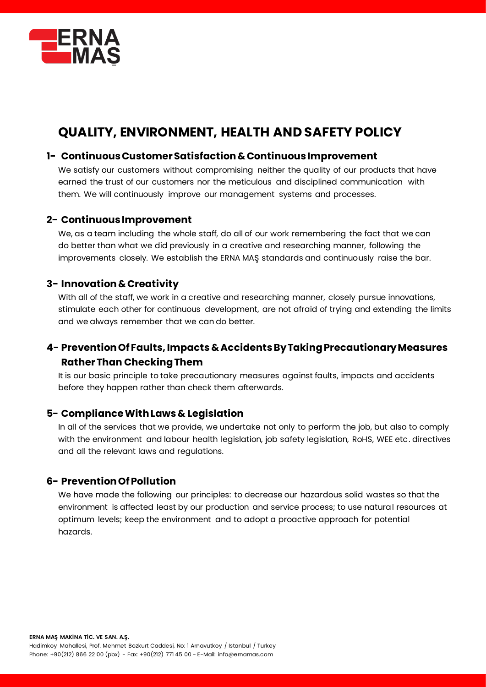

# **QUALITY, ENVIRONMENT, HEALTH AND SAFETY POLICY**

### **1- ContinuousCustomerSatisfaction &Continuous Improvement**

We satisfy our customers without compromising neither the quality of our products that have earned the trust of our customers nor the meticulous and disciplined communication with them. We will continuously improve our management systems and processes.

#### **2- Continuous Improvement**

We, as a team including the whole staff, do all of our work remembering the fact that we can do better than what we did previously in a creative and researching manner, following the improvements closely. We establish the ERNA MAŞ standards and continuously raise the bar.

### **3- Innovation &Creativity**

With all of the staff, we work in a creative and researching manner, closely pursue innovations, stimulate each other for continuous development, are not afraid of trying and extending the limits and we always remember that we can do better.

# **4- Prevention Of Faults, Impacts & Accidents By Taking Precautionary Measures Rather Than Checking Them**

It is our basic principle to take precautionary measures against faults, impacts and accidents before they happen rather than check them afterwards.

### **5- Compliance With Laws & Legislation**

In all of the services that we provide, we undertake not only to perform the job, but also to comply with the environment and labour health legislation, job safety legislation, RoHS, WEE etc. directives and all the relevant laws and regulations.

### **6- Prevention Of Pollution**

We have made the following our principles: to decrease our hazardous solid wastes so that the environment is affected least by our production and service process; to use natural resources at optimum levels; keep the environment and to adopt a proactive approach for potential hazards.